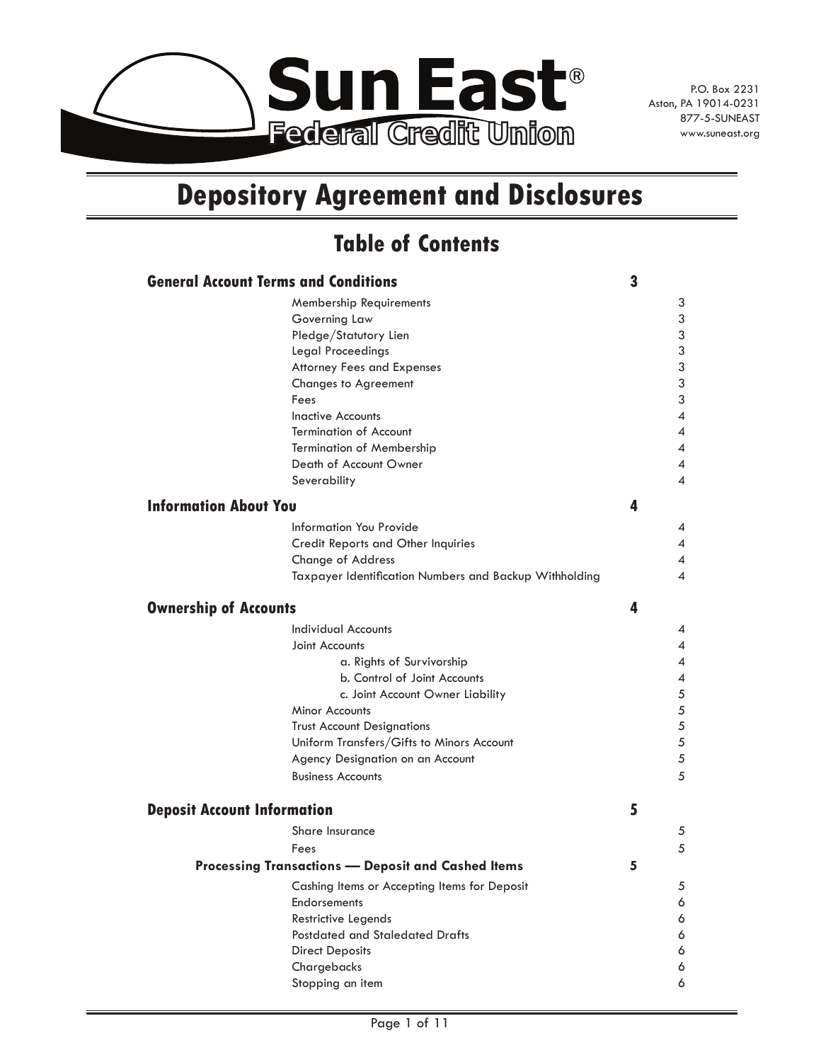

# **Depository Agreement and Disclosures**

## **Table of Contents**

| <b>General Account Terms and Conditions</b><br>3          |                                                        |   |            |
|-----------------------------------------------------------|--------------------------------------------------------|---|------------|
|                                                           | Membership Requirements                                |   | 3          |
|                                                           | Governing Law                                          |   | 3          |
|                                                           | Pledge/Statutory Lien                                  |   | 3          |
|                                                           | Legal Proceedings                                      |   | 3          |
|                                                           | <b>Attorney Fees and Expenses</b>                      |   | $\sqrt{3}$ |
|                                                           | <b>Changes to Agreement</b>                            |   | 3          |
|                                                           | Fees                                                   |   | 3          |
|                                                           | <b>Inactive Accounts</b>                               |   | 4          |
|                                                           | <b>Termination of Account</b>                          |   | 4          |
|                                                           | <b>Termination of Membership</b>                       |   | 4          |
|                                                           | Death of Account Owner                                 |   | 4          |
|                                                           | Severability                                           |   | 4          |
| <b>Information About You</b>                              |                                                        | 4 |            |
|                                                           |                                                        |   |            |
|                                                           | Information You Provide                                |   | 4          |
|                                                           | Credit Reports and Other Inquiries                     |   | 4          |
|                                                           | Change of Address                                      |   | 4          |
|                                                           | Taxpayer Identification Numbers and Backup Withholding |   | 4          |
| <b>Ownership of Accounts</b>                              |                                                        | 4 |            |
|                                                           | Individual Accounts                                    |   | 4          |
|                                                           | Joint Accounts                                         |   | 4          |
|                                                           | a. Rights of Survivorship                              |   | 4          |
|                                                           | b. Control of Joint Accounts                           |   | 4          |
|                                                           | c. Joint Account Owner Liability                       |   | 5          |
|                                                           | <b>Minor Accounts</b>                                  |   | 5          |
|                                                           | <b>Trust Account Designations</b>                      |   | 5          |
|                                                           | Uniform Transfers/Gifts to Minors Account              |   | 5          |
|                                                           | Agency Designation on an Account                       |   | 5          |
|                                                           | <b>Business Accounts</b>                               |   | 5          |
| <b>Deposit Account Information</b>                        |                                                        | 5 |            |
|                                                           | Share Insurance                                        |   | 5          |
|                                                           | Fees                                                   |   | 5          |
| <b>Processing Transactions - Deposit and Cashed Items</b> |                                                        |   |            |
|                                                           | Cashing Items or Accepting Items for Deposit           |   | 5          |
|                                                           | <b>Endorsements</b>                                    |   | 6          |
|                                                           | Restrictive Legends                                    |   | 6          |
|                                                           | <b>Postdated and Staledated Drafts</b>                 |   | 6          |
|                                                           | <b>Direct Deposits</b>                                 |   | 6          |
|                                                           | Chargebacks                                            |   | 6          |
|                                                           | Stopping an item                                       |   | 6          |
|                                                           |                                                        |   |            |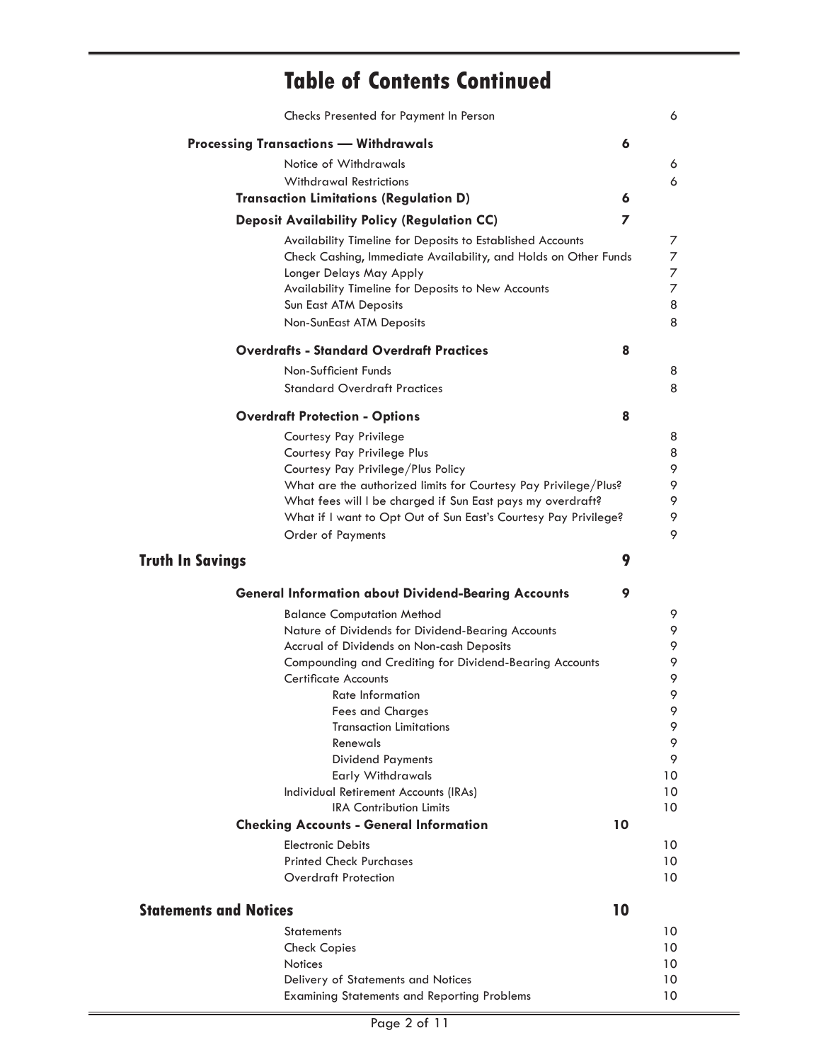## **Table of Contents Continued**

|                               | Checks Presented for Payment In Person                          | 6                        |
|-------------------------------|-----------------------------------------------------------------|--------------------------|
|                               | <b>Processing Transactions - Withdrawals</b>                    | 6                        |
|                               | Notice of Withdrawals                                           | 6                        |
|                               | <b>Withdrawal Restrictions</b>                                  | 6                        |
|                               | <b>Transaction Limitations (Regulation D)</b>                   | 6                        |
|                               | <b>Deposit Availability Policy (Regulation CC)</b>              | $\overline{ }$           |
|                               | Availability Timeline for Deposits to Established Accounts      | 7                        |
|                               | Check Cashing, Immediate Availability, and Holds on Other Funds | 7                        |
|                               | Longer Delays May Apply                                         | 7                        |
|                               | Availability Timeline for Deposits to New Accounts              | $\overline{\mathcal{I}}$ |
|                               | Sun East ATM Deposits                                           | 8                        |
|                               | <b>Non-SunEast ATM Deposits</b>                                 | 8                        |
|                               | <b>Overdrafts - Standard Overdraft Practices</b>                | 8                        |
|                               | Non-Sufficient Funds                                            | 8                        |
|                               | <b>Standard Overdraft Practices</b>                             | 8                        |
|                               | <b>Overdraft Protection - Options</b>                           | 8                        |
|                               |                                                                 |                          |
|                               | Courtesy Pay Privilege<br>Courtesy Pay Privilege Plus           | 8<br>8                   |
|                               | Courtesy Pay Privilege/Plus Policy                              | 9                        |
|                               | What are the authorized limits for Courtesy Pay Privilege/Plus? | 9                        |
|                               | What fees will I be charged if Sun East pays my overdraft?      | 9                        |
|                               | What if I want to Opt Out of Sun East's Courtesy Pay Privilege? | 9                        |
|                               | <b>Order of Payments</b>                                        | 9                        |
| <b>Truth In Savings</b>       |                                                                 | 9                        |
|                               |                                                                 |                          |
|                               | <b>General Information about Dividend-Bearing Accounts</b>      | 9<br>9                   |
|                               |                                                                 |                          |
|                               | <b>Balance Computation Method</b>                               |                          |
|                               | Nature of Dividends for Dividend-Bearing Accounts               | 9                        |
|                               | Accrual of Dividends on Non-cash Deposits                       | 9                        |
|                               | Compounding and Crediting for Dividend-Bearing Accounts         | 9                        |
|                               | <b>Certificate Accounts</b><br>Rate Information                 | 9<br>9                   |
|                               | <b>Fees and Charges</b>                                         | 9                        |
|                               | <b>Transaction Limitations</b>                                  | 9                        |
|                               | Renewals                                                        | 9                        |
|                               | <b>Dividend Payments</b>                                        | 9                        |
|                               | Early Withdrawals                                               | 10                       |
|                               | Individual Retirement Accounts (IRAs)                           | 10                       |
|                               | <b>IRA Contribution Limits</b>                                  | 10                       |
|                               | <b>Checking Accounts - General Information</b>                  | 10                       |
|                               | <b>Electronic Debits</b>                                        | 10                       |
|                               | <b>Printed Check Purchases</b>                                  | 10                       |
|                               | <b>Overdraft Protection</b>                                     | 10                       |
| <b>Statements and Notices</b> |                                                                 | 10                       |
|                               | <b>Statements</b>                                               | 10                       |
|                               |                                                                 | 10                       |
| <b>Notices</b>                | <b>Check Copies</b>                                             | 10                       |
|                               | Delivery of Statements and Notices                              | 10                       |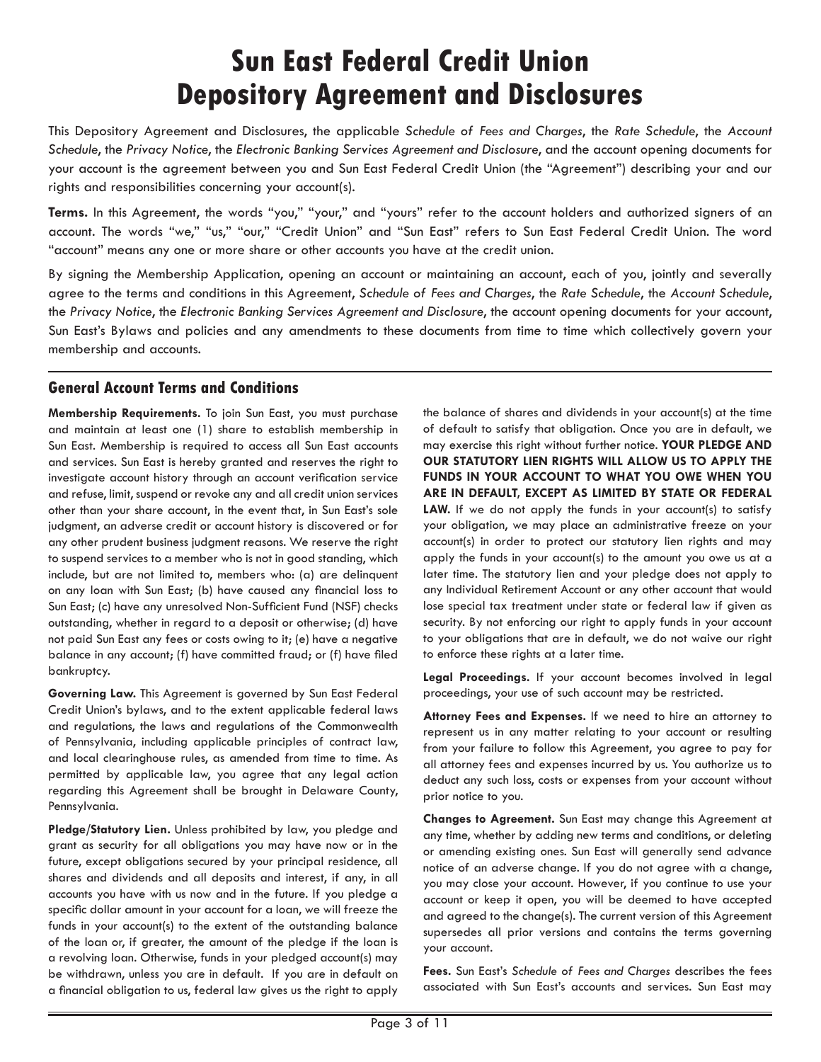# **Sun East Federal Credit Union Depository Agreement and Disclosures**

This Depository Agreement and Disclosures, the applicable *Schedule of Fees and Charges*, the *Rate Schedule*, the *Account Schedule*, the *Privacy Notice*, the *Electronic Banking Services Agreement and Disclosure*, and the account opening documents for your account is the agreement between you and Sun East Federal Credit Union (the "Agreement") describing your and our rights and responsibilities concerning your account(s).

**Terms.** In this Agreement, the words "you," "your," and "yours" refer to the account holders and authorized signers of an account. The words "we," "us," "our," "Credit Union" and "Sun East" refers to Sun East Federal Credit Union. The word "account" means any one or more share or other accounts you have at the credit union.

By signing the Membership Application, opening an account or maintaining an account, each of you, jointly and severally agree to the terms and conditions in this Agreement, *Schedule of Fees and Charges*, the *Rate Schedule*, the *Account Schedule*, the *Privacy Notice*, the *Electronic Banking Services Agreement and Disclosure*, the account opening documents for your account, Sun East's Bylaws and policies and any amendments to these documents from time to time which collectively govern your membership and accounts.

## **General Account Terms and Conditions**

**Membership Requirements.** To join Sun East, you must purchase and maintain at least one (1) share to establish membership in Sun East. Membership is required to access all Sun East accounts and services. Sun East is hereby granted and reserves the right to investigate account history through an account verification service and refuse, limit, suspend or revoke any and all credit union services other than your share account, in the event that, in Sun East's sole judgment, an adverse credit or account history is discovered or for any other prudent business judgment reasons. We reserve the right to suspend services to a member who is not in good standing, which include, but are not limited to, members who: (a) are delinquent on any loan with Sun East; (b) have caused any financial loss to Sun East; (c) have any unresolved Non-Sufficient Fund (NSF) checks outstanding, whether in regard to a deposit or otherwise; (d) have not paid Sun East any fees or costs owing to it; (e) have a negative balance in any account; (f) have committed fraud; or (f) have filed bankruptcy.

**Governing Law.** This Agreement is governed by Sun East Federal Credit Union's bylaws, and to the extent applicable federal laws and regulations, the laws and regulations of the Commonwealth of Pennsylvania, including applicable principles of contract law, and local clearinghouse rules, as amended from time to time. As permitted by applicable law, you agree that any legal action regarding this Agreement shall be brought in Delaware County, Pennsylvania.

**Pledge/Statutory Lien.** Unless prohibited by law, you pledge and grant as security for all obligations you may have now or in the future, except obligations secured by your principal residence, all shares and dividends and all deposits and interest, if any, in all accounts you have with us now and in the future. If you pledge a specific dollar amount in your account for a loan, we will freeze the funds in your account(s) to the extent of the outstanding balance of the loan or, if greater, the amount of the pledge if the loan is a revolving loan. Otherwise, funds in your pledged account(s) may be withdrawn, unless you are in default. If you are in default on a financial obligation to us, federal law gives us the right to apply

the balance of shares and dividends in your account(s) at the time of default to satisfy that obligation. Once you are in default, we may exercise this right without further notice. **YOUR PLEDGE AND OUR STATUTORY LIEN RIGHTS WILL ALLOW US TO APPLY THE FUNDS IN YOUR ACCOUNT TO WHAT YOU OWE WHEN YOU ARE IN DEFAULT, EXCEPT AS LIMITED BY STATE OR FEDERAL**  LAW. If we do not apply the funds in your account(s) to satisfy your obligation, we may place an administrative freeze on your account(s) in order to protect our statutory lien rights and may apply the funds in your account(s) to the amount you owe us at a later time. The statutory lien and your pledge does not apply to any Individual Retirement Account or any other account that would lose special tax treatment under state or federal law if given as security. By not enforcing our right to apply funds in your account to your obligations that are in default, we do not waive our right to enforce these rights at a later time.

**Legal Proceedings.** If your account becomes involved in legal proceedings, your use of such account may be restricted.

**Attorney Fees and Expenses.** If we need to hire an attorney to represent us in any matter relating to your account or resulting from your failure to follow this Agreement, you agree to pay for all attorney fees and expenses incurred by us. You authorize us to deduct any such loss, costs or expenses from your account without prior notice to you.

**Changes to Agreement.** Sun East may change this Agreement at any time, whether by adding new terms and conditions, or deleting or amending existing ones. Sun East will generally send advance notice of an adverse change. If you do not agree with a change, you may close your account. However, if you continue to use your account or keep it open, you will be deemed to have accepted and agreed to the change(s). The current version of this Agreement supersedes all prior versions and contains the terms governing your account.

**Fees.** Sun East's *Schedule of Fees and Charges* describes the fees associated with Sun East's accounts and services. Sun East may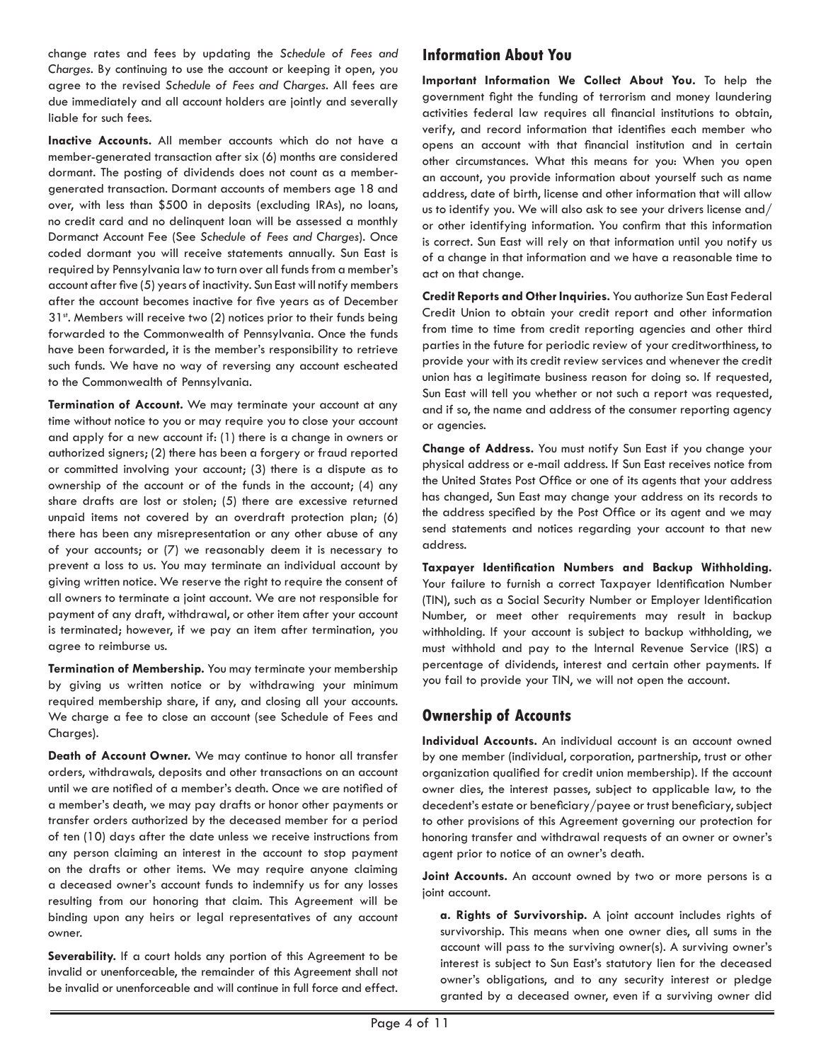change rates and fees by updating the *Schedule of Fees and Charges*. By continuing to use the account or keeping it open, you agree to the revised *Schedule of Fees and Charges*. All fees are due immediately and all account holders are jointly and severally liable for such fees.

**Inactive Accounts.** All member accounts which do not have a member-generated transaction after six (6) months are considered dormant. The posting of dividends does not count as a membergenerated transaction. Dormant accounts of members age 18 and over, with less than \$500 in deposits (excluding IRAs), no loans, no credit card and no delinquent loan will be assessed a monthly Dormanct Account Fee (See *Schedule of Fees and Charges*). Once coded dormant you will receive statements annually. Sun East is required by Pennsylvania law to turn over all funds from a member's account after five (5) years of inactivity. Sun East will notify members after the account becomes inactive for five years as of December  $31<sup>st</sup>$ . Members will receive two (2) notices prior to their funds being forwarded to the Commonwealth of Pennsylvania. Once the funds have been forwarded, it is the member's responsibility to retrieve such funds. We have no way of reversing any account escheated to the Commonwealth of Pennsylvania.

**Termination of Account.** We may terminate your account at any time without notice to you or may require you to close your account and apply for a new account if: (1) there is a change in owners or authorized signers; (2) there has been a forgery or fraud reported or committed involving your account; (3) there is a dispute as to ownership of the account or of the funds in the account; (4) any share drafts are lost or stolen; (5) there are excessive returned unpaid items not covered by an overdraft protection plan; (6) there has been any misrepresentation or any other abuse of any of your accounts; or (7) we reasonably deem it is necessary to prevent a loss to us. You may terminate an individual account by giving written notice. We reserve the right to require the consent of all owners to terminate a joint account. We are not responsible for payment of any draft, withdrawal, or other item after your account is terminated; however, if we pay an item after termination, you agree to reimburse us.

**Termination of Membership.** You may terminate your membership by giving us written notice or by withdrawing your minimum required membership share, if any, and closing all your accounts. We charge a fee to close an account (see Schedule of Fees and Charges).

**Death of Account Owner.** We may continue to honor all transfer orders, withdrawals, deposits and other transactions on an account until we are notified of a member's death. Once we are notified of a member's death, we may pay drafts or honor other payments or transfer orders authorized by the deceased member for a period of ten (10) days after the date unless we receive instructions from any person claiming an interest in the account to stop payment on the drafts or other items. We may require anyone claiming a deceased owner's account funds to indemnify us for any losses resulting from our honoring that claim. This Agreement will be binding upon any heirs or legal representatives of any account owner.

**Severability.** If a court holds any portion of this Agreement to be invalid or unenforceable, the remainder of this Agreement shall not be invalid or unenforceable and will continue in full force and effect.

## **Information About You**

**Important Information We Collect About You.** To help the government fight the funding of terrorism and money laundering activities federal law requires all financial institutions to obtain, verify, and record information that identifies each member who opens an account with that financial institution and in certain other circumstances. What this means for you: When you open an account, you provide information about yourself such as name address, date of birth, license and other information that will allow us to identify you. We will also ask to see your drivers license and/ or other identifying information. You confirm that this information is correct. Sun East will rely on that information until you notify us of a change in that information and we have a reasonable time to act on that change.

**Credit Reports and Other Inquiries.** You authorize Sun East Federal Credit Union to obtain your credit report and other information from time to time from credit reporting agencies and other third parties in the future for periodic review of your creditworthiness, to provide your with its credit review services and whenever the credit union has a legitimate business reason for doing so. If requested, Sun East will tell you whether or not such a report was requested, and if so, the name and address of the consumer reporting agency or agencies.

**Change of Address.** You must notify Sun East if you change your physical address or e-mail address. If Sun East receives notice from the United States Post Office or one of its agents that your address has changed, Sun East may change your address on its records to the address specified by the Post Office or its agent and we may send statements and notices regarding your account to that new address.

**Taxpayer Identification Numbers and Backup Withholding.**  Your failure to furnish a correct Taxpayer Identification Number (TIN), such as a Social Security Number or Employer Identification Number, or meet other requirements may result in backup withholding. If your account is subject to backup withholding, we must withhold and pay to the Internal Revenue Service (IRS) a percentage of dividends, interest and certain other payments. If you fail to provide your TIN, we will not open the account.

## **Ownership of Accounts**

**Individual Accounts.** An individual account is an account owned by one member (individual, corporation, partnership, trust or other organization qualified for credit union membership). If the account owner dies, the interest passes, subject to applicable law, to the decedent's estate or beneficiary/payee or trust beneficiary, subject to other provisions of this Agreement governing our protection for honoring transfer and withdrawal requests of an owner or owner's agent prior to notice of an owner's death.

**Joint Accounts.** An account owned by two or more persons is a joint account.

**a. Rights of Survivorship.** A joint account includes rights of survivorship. This means when one owner dies, all sums in the account will pass to the surviving owner(s). A surviving owner's interest is subject to Sun East's statutory lien for the deceased owner's obligations, and to any security interest or pledge granted by a deceased owner, even if a surviving owner did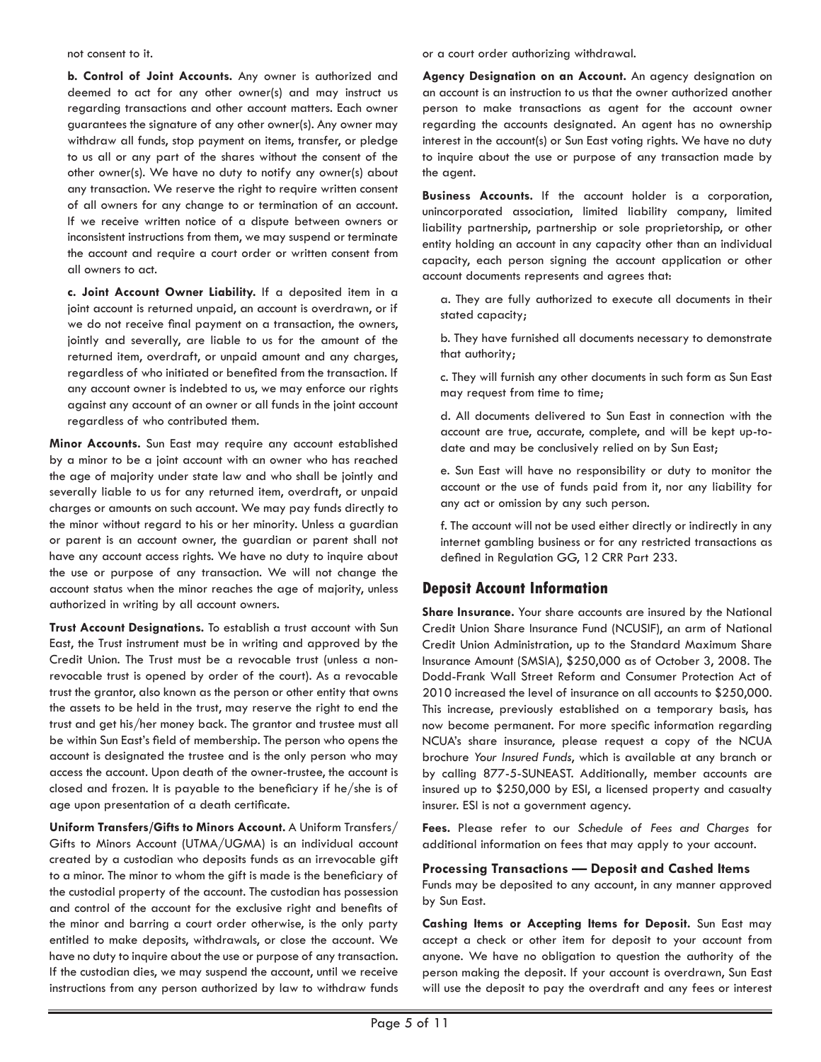#### not consent to it.

**b. Control of Joint Accounts.** Any owner is authorized and deemed to act for any other owner(s) and may instruct us regarding transactions and other account matters. Each owner guarantees the signature of any other owner(s). Any owner may withdraw all funds, stop payment on items, transfer, or pledge to us all or any part of the shares without the consent of the other owner(s). We have no duty to notify any owner(s) about any transaction. We reserve the right to require written consent of all owners for any change to or termination of an account. If we receive written notice of a dispute between owners or inconsistent instructions from them, we may suspend or terminate the account and require a court order or written consent from all owners to act.

**c. Joint Account Owner Liability.** If a deposited item in a joint account is returned unpaid, an account is overdrawn, or if we do not receive final payment on a transaction, the owners, jointly and severally, are liable to us for the amount of the returned item, overdraft, or unpaid amount and any charges, regardless of who initiated or benefited from the transaction. If any account owner is indebted to us, we may enforce our rights against any account of an owner or all funds in the joint account regardless of who contributed them.

**Minor Accounts.** Sun East may require any account established by a minor to be a joint account with an owner who has reached the age of majority under state law and who shall be jointly and severally liable to us for any returned item, overdraft, or unpaid charges or amounts on such account. We may pay funds directly to the minor without regard to his or her minority. Unless a guardian or parent is an account owner, the guardian or parent shall not have any account access rights. We have no duty to inquire about the use or purpose of any transaction. We will not change the account status when the minor reaches the age of majority, unless authorized in writing by all account owners.

**Trust Account Designations.** To establish a trust account with Sun East, the Trust instrument must be in writing and approved by the Credit Union. The Trust must be a revocable trust (unless a nonrevocable trust is opened by order of the court). As a revocable trust the grantor, also known as the person or other entity that owns the assets to be held in the trust, may reserve the right to end the trust and get his/her money back. The grantor and trustee must all be within Sun East's field of membership. The person who opens the account is designated the trustee and is the only person who may access the account. Upon death of the owner-trustee, the account is closed and frozen. It is payable to the beneficiary if he/she is of age upon presentation of a death certificate.

**Uniform Transfers/Gifts to Minors Account.** A Uniform Transfers/ Gifts to Minors Account (UTMA/UGMA) is an individual account created by a custodian who deposits funds as an irrevocable gift to a minor. The minor to whom the gift is made is the beneficiary of the custodial property of the account. The custodian has possession and control of the account for the exclusive right and benefits of the minor and barring a court order otherwise, is the only party entitled to make deposits, withdrawals, or close the account. We have no duty to inquire about the use or purpose of any transaction. If the custodian dies, we may suspend the account, until we receive instructions from any person authorized by law to withdraw funds

or a court order authorizing withdrawal.

**Agency Designation on an Account.** An agency designation on an account is an instruction to us that the owner authorized another person to make transactions as agent for the account owner regarding the accounts designated. An agent has no ownership interest in the account(s) or Sun East voting rights. We have no duty to inquire about the use or purpose of any transaction made by the agent.

**Business Accounts.** If the account holder is a corporation, unincorporated association, limited liability company, limited liability partnership, partnership or sole proprietorship, or other entity holding an account in any capacity other than an individual capacity, each person signing the account application or other account documents represents and agrees that:

a. They are fully authorized to execute all documents in their stated capacity;

b. They have furnished all documents necessary to demonstrate that authority;

c. They will furnish any other documents in such form as Sun East may request from time to time;

d. All documents delivered to Sun East in connection with the account are true, accurate, complete, and will be kept up-todate and may be conclusively relied on by Sun East;

e. Sun East will have no responsibility or duty to monitor the account or the use of funds paid from it, nor any liability for any act or omission by any such person.

f. The account will not be used either directly or indirectly in any internet gambling business or for any restricted transactions as defined in Regulation GG, 12 CRR Part 233.

#### **Deposit Account Information**

**Share Insurance.** Your share accounts are insured by the National Credit Union Share Insurance Fund (NCUSIF), an arm of National Credit Union Administration, up to the Standard Maximum Share Insurance Amount (SMSIA), \$250,000 as of October 3, 2008. The Dodd-Frank Wall Street Reform and Consumer Protection Act of 2010 increased the level of insurance on all accounts to \$250,000. This increase, previously established on a temporary basis, has now become permanent. For more specific information regarding NCUA's share insurance, please request a copy of the NCUA brochure *Your Insured Funds*, which is available at any branch or by calling 877-5-SUNEAST. Additionally, member accounts are insured up to \$250,000 by ESI, a licensed property and casualty insurer. ESI is not a government agency.

**Fees.** Please refer to our *Schedule of Fees and Charges* for additional information on fees that may apply to your account.

#### **Processing Transactions — Deposit and Cashed Items**

Funds may be deposited to any account, in any manner approved by Sun East.

**Cashing Items or Accepting Items for Deposit.** Sun East may accept a check or other item for deposit to your account from anyone. We have no obligation to question the authority of the person making the deposit. If your account is overdrawn, Sun East will use the deposit to pay the overdraft and any fees or interest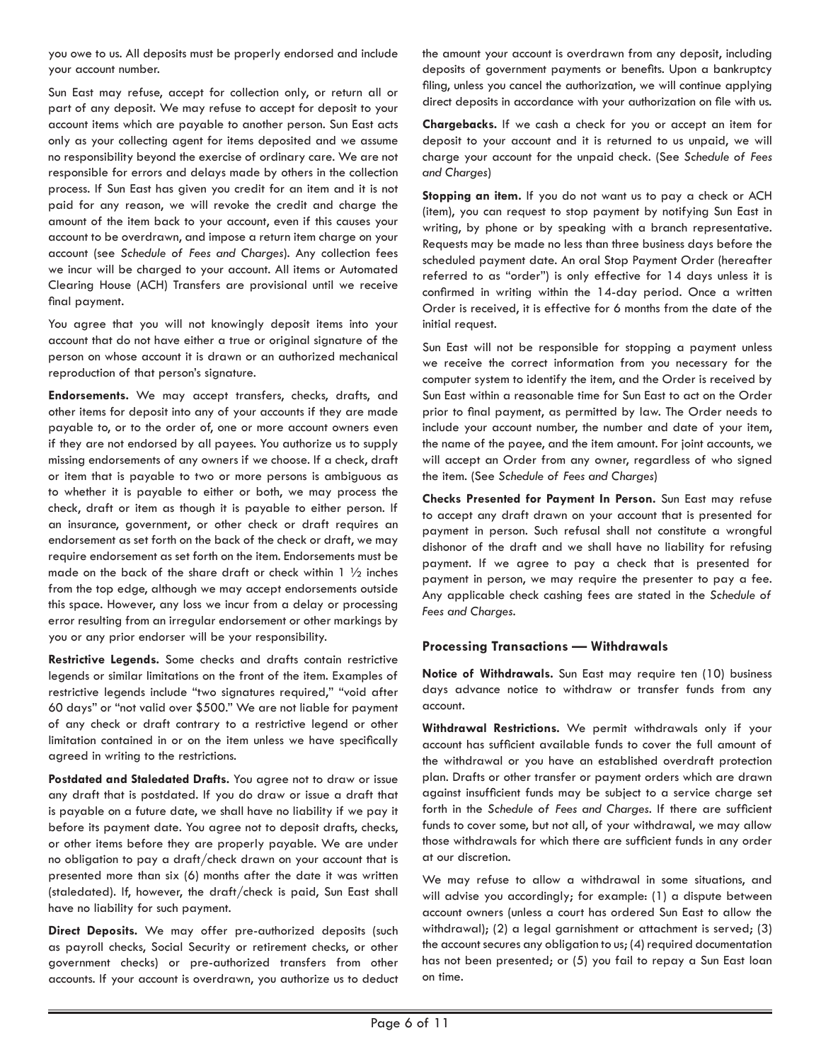you owe to us. All deposits must be properly endorsed and include your account number.

Sun East may refuse, accept for collection only, or return all or part of any deposit. We may refuse to accept for deposit to your account items which are payable to another person. Sun East acts only as your collecting agent for items deposited and we assume no responsibility beyond the exercise of ordinary care. We are not responsible for errors and delays made by others in the collection process. If Sun East has given you credit for an item and it is not paid for any reason, we will revoke the credit and charge the amount of the item back to your account, even if this causes your account to be overdrawn, and impose a return item charge on your account (see *Schedule of Fees and Charges*). Any collection fees we incur will be charged to your account. All items or Automated Clearing House (ACH) Transfers are provisional until we receive final payment.

You agree that you will not knowingly deposit items into your account that do not have either a true or original signature of the person on whose account it is drawn or an authorized mechanical reproduction of that person's signature.

**Endorsements.** We may accept transfers, checks, drafts, and other items for deposit into any of your accounts if they are made payable to, or to the order of, one or more account owners even if they are not endorsed by all payees. You authorize us to supply missing endorsements of any owners if we choose. If a check, draft or item that is payable to two or more persons is ambiguous as to whether it is payable to either or both, we may process the check, draft or item as though it is payable to either person. If an insurance, government, or other check or draft requires an endorsement as set forth on the back of the check or draft, we may require endorsement as set forth on the item. Endorsements must be made on the back of the share draft or check within  $1 \frac{1}{2}$  inches from the top edge, although we may accept endorsements outside this space. However, any loss we incur from a delay or processing error resulting from an irregular endorsement or other markings by you or any prior endorser will be your responsibility.

**Restrictive Legends.** Some checks and drafts contain restrictive legends or similar limitations on the front of the item. Examples of restrictive legends include "two signatures required," "void after 60 days" or "not valid over \$500." We are not liable for payment of any check or draft contrary to a restrictive legend or other limitation contained in or on the item unless we have specifically agreed in writing to the restrictions.

**Postdated and Staledated Drafts.** You agree not to draw or issue any draft that is postdated. If you do draw or issue a draft that is payable on a future date, we shall have no liability if we pay it before its payment date. You agree not to deposit drafts, checks, or other items before they are properly payable. We are under no obligation to pay a draft/check drawn on your account that is presented more than six (6) months after the date it was written (staledated). If, however, the draft/check is paid, Sun East shall have no liability for such payment.

**Direct Deposits.** We may offer pre-authorized deposits (such as payroll checks, Social Security or retirement checks, or other government checks) or pre-authorized transfers from other accounts. If your account is overdrawn, you authorize us to deduct

the amount your account is overdrawn from any deposit, including deposits of government payments or benefits. Upon a bankruptcy filing, unless you cancel the authorization, we will continue applying direct deposits in accordance with your authorization on file with us.

**Chargebacks.** If we cash a check for you or accept an item for deposit to your account and it is returned to us unpaid, we will charge your account for the unpaid check. (See *Schedule of Fees and Charges*)

**Stopping an item.** If you do not want us to pay a check or ACH (item), you can request to stop payment by notifying Sun East in writing, by phone or by speaking with a branch representative. Requests may be made no less than three business days before the scheduled payment date. An oral Stop Payment Order (hereafter referred to as "order") is only effective for 14 days unless it is confirmed in writing within the 14-day period. Once a written Order is received, it is effective for 6 months from the date of the initial request.

Sun East will not be responsible for stopping a payment unless we receive the correct information from you necessary for the computer system to identify the item, and the Order is received by Sun East within a reasonable time for Sun East to act on the Order prior to final payment, as permitted by law. The Order needs to include your account number, the number and date of your item, the name of the payee, and the item amount. For joint accounts, we will accept an Order from any owner, regardless of who signed the item. (See *Schedule of Fees and Charges*)

**Checks Presented for Payment In Person.** Sun East may refuse to accept any draft drawn on your account that is presented for payment in person. Such refusal shall not constitute a wrongful dishonor of the draft and we shall have no liability for refusing payment. If we agree to pay a check that is presented for payment in person, we may require the presenter to pay a fee. Any applicable check cashing fees are stated in the *Schedule of Fees and Charges*.

#### **Processing Transactions — Withdrawals**

**Notice of Withdrawals.** Sun East may require ten (10) business days advance notice to withdraw or transfer funds from any account.

**Withdrawal Restrictions.** We permit withdrawals only if your account has sufficient available funds to cover the full amount of the withdrawal or you have an established overdraft protection plan. Drafts or other transfer or payment orders which are drawn against insufficient funds may be subject to a service charge set forth in the *Schedule of Fees and Charges*. If there are sufficient funds to cover some, but not all, of your withdrawal, we may allow those withdrawals for which there are sufficient funds in any order at our discretion.

We may refuse to allow a withdrawal in some situations, and will advise you accordingly; for example: (1) a dispute between account owners (unless a court has ordered Sun East to allow the withdrawal); (2) a legal garnishment or attachment is served; (3) the account secures any obligation to us; (4) required documentation has not been presented; or (5) you fail to repay a Sun East loan on time.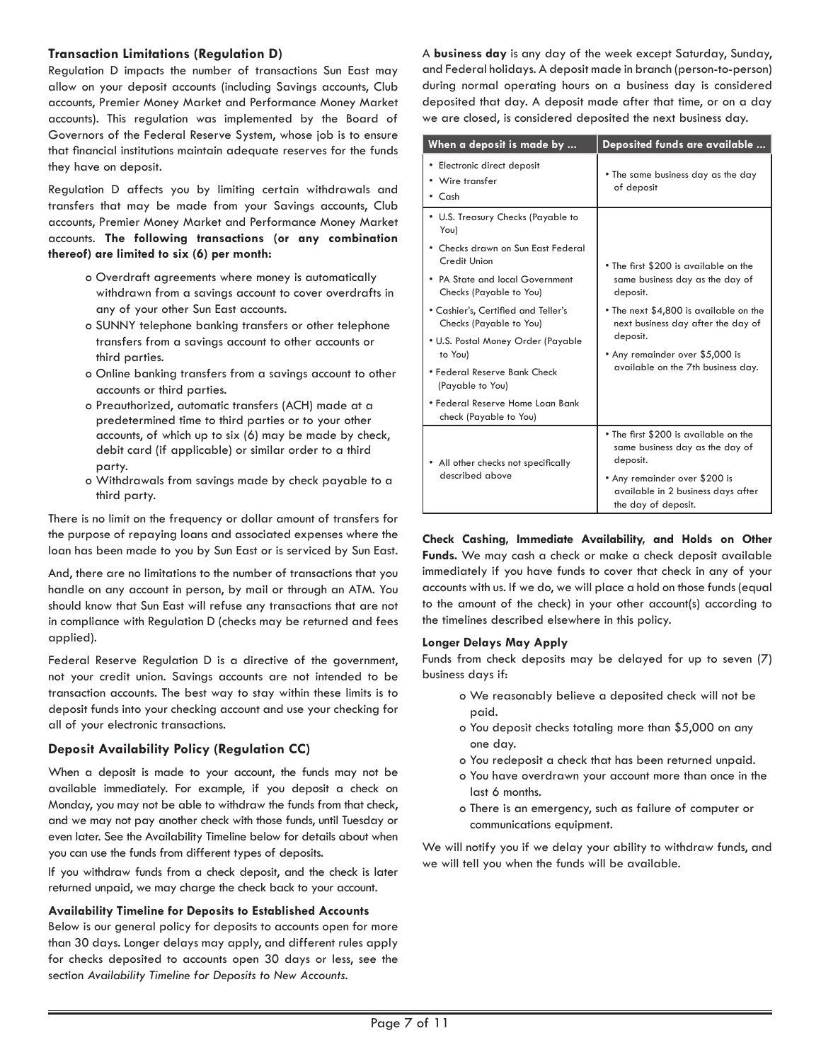#### **Transaction Limitations (Regulation D)**

Regulation D impacts the number of transactions Sun East may allow on your deposit accounts (including Savings accounts, Club accounts, Premier Money Market and Performance Money Market accounts). This regulation was implemented by the Board of Governors of the Federal Reserve System, whose job is to ensure that financial institutions maintain adequate reserves for the funds they have on deposit.

Regulation D affects you by limiting certain withdrawals and transfers that may be made from your Savings accounts, Club accounts, Premier Money Market and Performance Money Market accounts. **The following transactions (or any combination thereof) are limited to six (6) per month:**

- o Overdraft agreements where money is automatically withdrawn from a savings account to cover overdrafts in any of your other Sun East accounts.
- o SUNNY telephone banking transfers or other telephone transfers from a savings account to other accounts or third parties.
- o Online banking transfers from a savings account to other accounts or third parties.
- o Preauthorized, automatic transfers (ACH) made at a predetermined time to third parties or to your other accounts, of which up to six (6) may be made by check, debit card (if applicable) or similar order to a third party.
- o Withdrawals from savings made by check payable to a third party.

There is no limit on the frequency or dollar amount of transfers for the purpose of repaying loans and associated expenses where the loan has been made to you by Sun East or is serviced by Sun East.

And, there are no limitations to the number of transactions that you handle on any account in person, by mail or through an ATM. You should know that Sun East will refuse any transactions that are not in compliance with Regulation D (checks may be returned and fees applied).

Federal Reserve Regulation D is a directive of the government, not your credit union. Savings accounts are not intended to be transaction accounts. The best way to stay within these limits is to deposit funds into your checking account and use your checking for all of your electronic transactions.

#### **Deposit Availability Policy (Regulation CC)**

When a deposit is made to your account, the funds may not be available immediately. For example, if you deposit a check on Monday, you may not be able to withdraw the funds from that check, and we may not pay another check with those funds, until Tuesday or even later. See the Availability Timeline below for details about when you can use the funds from different types of deposits.

If you withdraw funds from a check deposit, and the check is later returned unpaid, we may charge the check back to your account.

#### **Availability Timeline for Deposits to Established Accounts**

Below is our general policy for deposits to accounts open for more than 30 days. Longer delays may apply, and different rules apply for checks deposited to accounts open 30 days or less, see the section *Availability Timeline for Deposits to New Accounts*.

A **business day** is any day of the week except Saturday, Sunday, and Federal holidays. A deposit made in branch (person-to-person) during normal operating hours on a business day is considered deposited that day. A deposit made after that time, or on a day we are closed, is considered deposited the next business day.

| When a deposit is made by                                      | Deposited funds are available                                                                                               |  |
|----------------------------------------------------------------|-----------------------------------------------------------------------------------------------------------------------------|--|
| • Electronic direct deposit<br>• Wire transfer<br>$\cdot$ Cash | • The same business day as the day<br>of deposit                                                                            |  |
| • U.S. Treasury Checks (Payable to<br>You)                     |                                                                                                                             |  |
| • Checks drawn on Sun East Federal<br>Credit Union             | • The first \$200 is available on the                                                                                       |  |
| • PA State and local Government<br>Checks (Payable to You)     | same business day as the day of<br>deposit.                                                                                 |  |
| • Cashier's, Certified and Teller's<br>Checks (Payable to You) | • The next \$4,800 is available on the<br>next business day after the day of<br>deposit.<br>• Any remainder over \$5,000 is |  |
| • U.S. Postal Money Order (Payable<br>to You)                  |                                                                                                                             |  |
| • Federal Reserve Bank Check<br>(Payable to You)               | available on the 7th business day.                                                                                          |  |
| • Federal Reserve Home Loan Bank<br>check (Payable to You)     |                                                                                                                             |  |
| • All other checks not specifically                            | • The first \$200 is available on the<br>same business day as the day of<br>deposit.                                        |  |
| described above                                                | • Any remainder over \$200 is<br>available in 2 business days after<br>the day of deposit.                                  |  |

**Check Cashing, Immediate Availability, and Holds on Other Funds.** We may cash a check or make a check deposit available immediately if you have funds to cover that check in any of your accounts with us. If we do, we will place a hold on those funds (equal to the amount of the check) in your other account(s) according to the timelines described elsewhere in this policy.

#### **Longer Delays May Apply**

Funds from check deposits may be delayed for up to seven (7) business days if:

- o We reasonably believe a deposited check will not be paid.
- o You deposit checks totaling more than \$5,000 on any one day.
- o You redeposit a check that has been returned unpaid.
- o You have overdrawn your account more than once in the last 6 months.
- o There is an emergency, such as failure of computer or communications equipment.

We will notify you if we delay your ability to withdraw funds, and we will tell you when the funds will be available.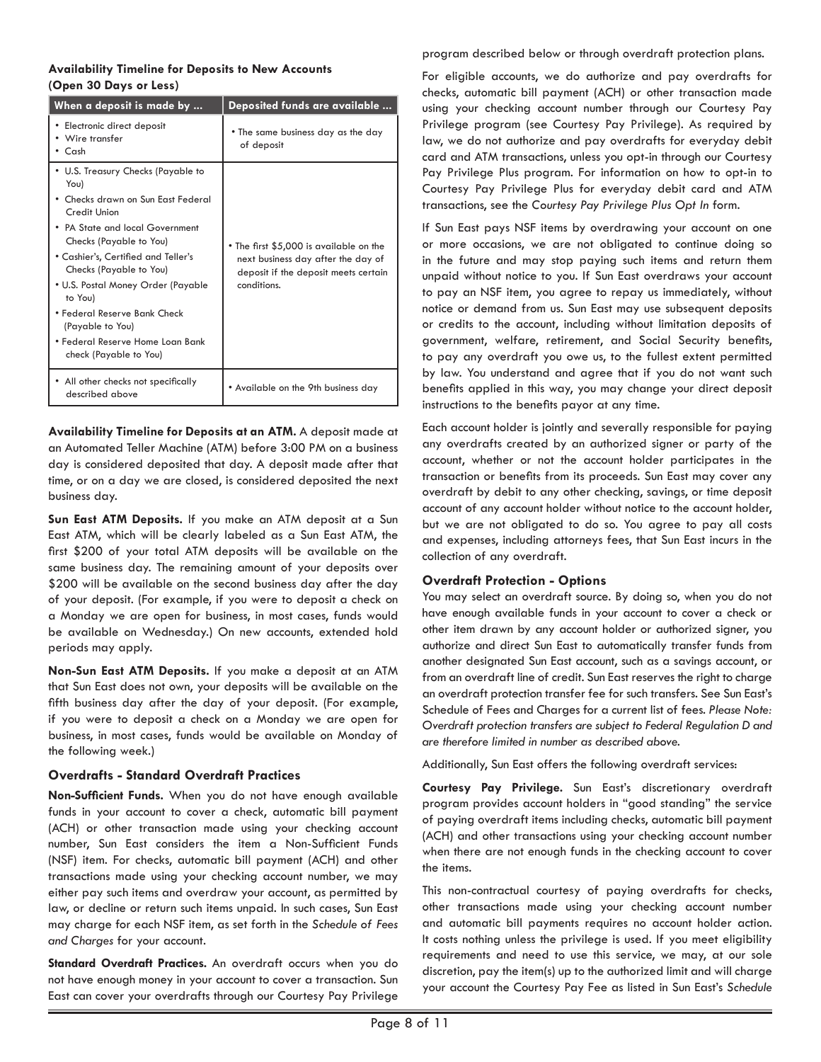#### **Availability Timeline for Deposits to New Accounts (Open 30 Days or Less)**

| When a deposit is made by                                                                                                                                                                                                                                                                                                                                                                       | Deposited funds are available                                                                                                        |
|-------------------------------------------------------------------------------------------------------------------------------------------------------------------------------------------------------------------------------------------------------------------------------------------------------------------------------------------------------------------------------------------------|--------------------------------------------------------------------------------------------------------------------------------------|
| Electronic direct deposit<br>Wire transfer<br>Cash                                                                                                                                                                                                                                                                                                                                              | • The same business day as the day<br>of deposit                                                                                     |
| U.S. Treasury Checks (Payable to<br>You)<br>Checks drawn on Sun East Federal<br>Credit Union<br>• PA State and local Government<br>Checks (Payable to You)<br>• Cashier's, Certified and Teller's<br>Checks (Payable to You)<br>• U.S. Postal Money Order (Payable<br>to You)<br>• Federal Reserve Bank Check<br>(Payable to You)<br>• Federal Reserve Home Loan Bank<br>check (Payable to You) | • The first \$5,000 is available on the<br>next business day after the day of<br>deposit if the deposit meets certain<br>conditions. |
| All other checks not specifically<br>described above                                                                                                                                                                                                                                                                                                                                            | • Available on the 9th business day                                                                                                  |

**Availability Timeline for Deposits at an ATM.** A deposit made at an Automated Teller Machine (ATM) before 3:00 PM on a business day is considered deposited that day. A deposit made after that time, or on a day we are closed, is considered deposited the next business day.

**Sun East ATM Deposits.** If you make an ATM deposit at a Sun East ATM, which will be clearly labeled as a Sun East ATM, the first \$200 of your total ATM deposits will be available on the same business day. The remaining amount of your deposits over \$200 will be available on the second business day after the day of your deposit. (For example, if you were to deposit a check on a Monday we are open for business, in most cases, funds would be available on Wednesday.) On new accounts, extended hold periods may apply.

**Non-Sun East ATM Deposits.** If you make a deposit at an ATM that Sun East does not own, your deposits will be available on the fifth business day after the day of your deposit. (For example, if you were to deposit a check on a Monday we are open for business, in most cases, funds would be available on Monday of the following week.)

#### **Overdrafts - Standard Overdraft Practices**

**Non-Sufficient Funds.** When you do not have enough available funds in your account to cover a check, automatic bill payment (ACH) or other transaction made using your checking account number, Sun East considers the item a Non-Sufficient Funds (NSF) item. For checks, automatic bill payment (ACH) and other transactions made using your checking account number, we may either pay such items and overdraw your account, as permitted by law, or decline or return such items unpaid. In such cases, Sun East may charge for each NSF item, as set forth in the *Schedule of Fees and Charges* for your account.

**Standard Overdraft Practices.** An overdraft occurs when you do not have enough money in your account to cover a transaction. Sun East can cover your overdrafts through our Courtesy Pay Privilege

program described below or through overdraft protection plans.

For eligible accounts, we do authorize and pay overdrafts for checks, automatic bill payment (ACH) or other transaction made using your checking account number through our Courtesy Pay Privilege program (see Courtesy Pay Privilege). As required by law, we do not authorize and pay overdrafts for everyday debit card and ATM transactions, unless you opt-in through our Courtesy Pay Privilege Plus program. For information on how to opt-in to Courtesy Pay Privilege Plus for everyday debit card and ATM transactions, see the *Courtesy Pay Privilege Plus Opt In* form.

If Sun East pays NSF items by overdrawing your account on one or more occasions, we are not obligated to continue doing so in the future and may stop paying such items and return them unpaid without notice to you. If Sun East overdraws your account to pay an NSF item, you agree to repay us immediately, without notice or demand from us. Sun East may use subsequent deposits or credits to the account, including without limitation deposits of government, welfare, retirement, and Social Security benefits, to pay any overdraft you owe us, to the fullest extent permitted by law. You understand and agree that if you do not want such benefits applied in this way, you may change your direct deposit instructions to the benefits payor at any time.

Each account holder is jointly and severally responsible for paying any overdrafts created by an authorized signer or party of the account, whether or not the account holder participates in the transaction or benefits from its proceeds. Sun East may cover any overdraft by debit to any other checking, savings, or time deposit account of any account holder without notice to the account holder, but we are not obligated to do so. You agree to pay all costs and expenses, including attorneys fees, that Sun East incurs in the collection of any overdraft.

#### **Overdraft Protection - Options**

You may select an overdraft source. By doing so, when you do not have enough available funds in your account to cover a check or other item drawn by any account holder or authorized signer, you authorize and direct Sun East to automatically transfer funds from another designated Sun East account, such as a savings account, or from an overdraft line of credit. Sun East reserves the right to charge an overdraft protection transfer fee for such transfers. See Sun East's Schedule of Fees and Charges for a current list of fees. *Please Note: Overdraft protection transfers are subject to Federal Regulation D and are therefore limited in number as described above.*

Additionally, Sun East offers the following overdraft services:

**Courtesy Pay Privilege.** Sun East's discretionary overdraft program provides account holders in "good standing" the service of paying overdraft items including checks, automatic bill payment (ACH) and other transactions using your checking account number when there are not enough funds in the checking account to cover the items.

This non-contractual courtesy of paying overdrafts for checks, other transactions made using your checking account number and automatic bill payments requires no account holder action. It costs nothing unless the privilege is used. If you meet eligibility requirements and need to use this service, we may, at our sole discretion, pay the item(s) up to the authorized limit and will charge your account the Courtesy Pay Fee as listed in Sun East's *Schedule*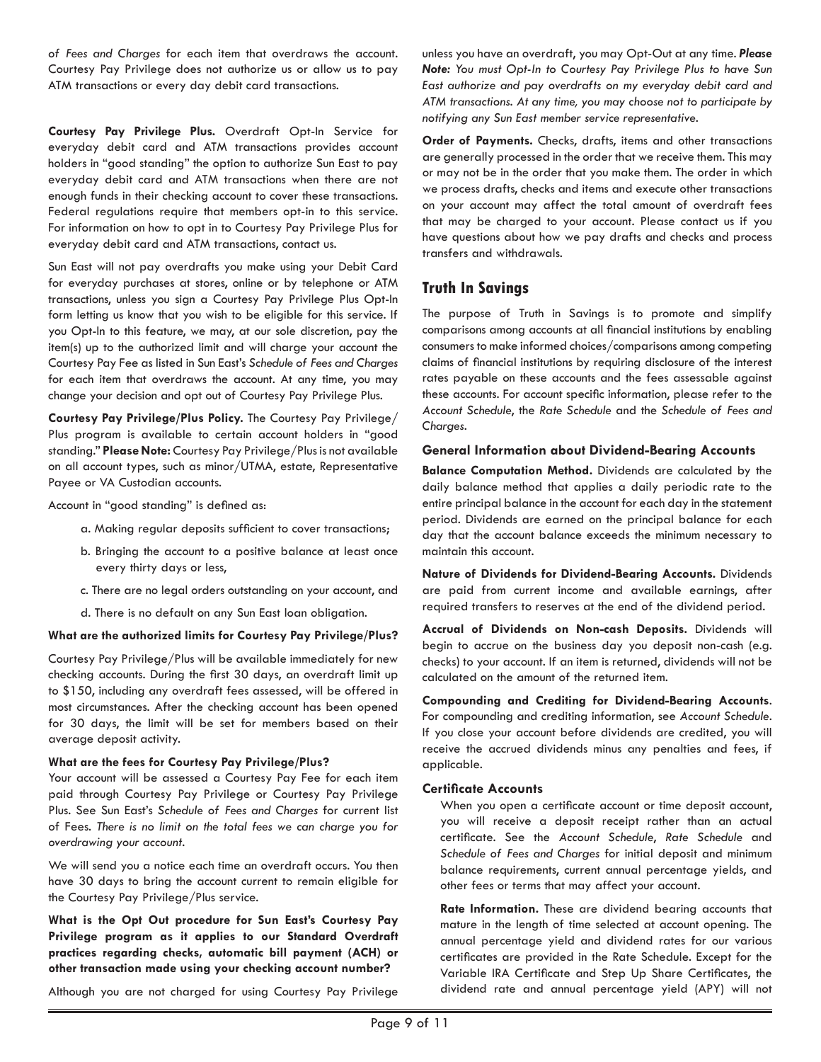*of Fees and Charges* for each item that overdraws the account. Courtesy Pay Privilege does not authorize us or allow us to pay ATM transactions or every day debit card transactions.

**Courtesy Pay Privilege Plus.** Overdraft Opt-In Service for everyday debit card and ATM transactions provides account holders in "good standing" the option to authorize Sun East to pay everyday debit card and ATM transactions when there are not enough funds in their checking account to cover these transactions. Federal regulations require that members opt-in to this service. For information on how to opt in to Courtesy Pay Privilege Plus for everyday debit card and ATM transactions, contact us.

Sun East will not pay overdrafts you make using your Debit Card for everyday purchases at stores, online or by telephone or ATM transactions, unless you sign a Courtesy Pay Privilege Plus Opt-In form letting us know that you wish to be eligible for this service. If you Opt-In to this feature, we may, at our sole discretion, pay the item(s) up to the authorized limit and will charge your account the Courtesy Pay Fee as listed in Sun East's *Schedule of Fees and Charges* for each item that overdraws the account. At any time, you may change your decision and opt out of Courtesy Pay Privilege Plus.

**Courtesy Pay Privilege/Plus Policy.** The Courtesy Pay Privilege/ Plus program is available to certain account holders in "good standing." **Please Note:** Courtesy Pay Privilege/Plus is not available on all account types, such as minor/UTMA, estate, Representative Payee or VA Custodian accounts.

Account in "good standing" is defined as:

- a. Making regular deposits sufficient to cover transactions;
- b. Bringing the account to a positive balance at least once every thirty days or less,
- c. There are no legal orders outstanding on your account, and
- d. There is no default on any Sun East loan obligation.

#### **What are the authorized limits for Courtesy Pay Privilege/Plus?**

Courtesy Pay Privilege/Plus will be available immediately for new checking accounts. During the first 30 days, an overdraft limit up to \$150, including any overdraft fees assessed, will be offered in most circumstances. After the checking account has been opened for 30 days, the limit will be set for members based on their average deposit activity.

#### **What are the fees for Courtesy Pay Privilege/Plus?**

Your account will be assessed a Courtesy Pay Fee for each item paid through Courtesy Pay Privilege or Courtesy Pay Privilege Plus. See Sun East's *Schedule of Fees and Charges* for current list of Fees. *There is no limit on the total fees we can charge you for overdrawing your account.* 

We will send you a notice each time an overdraft occurs. You then have 30 days to bring the account current to remain eligible for the Courtesy Pay Privilege/Plus service.

**What is the Opt Out procedure for Sun East's Courtesy Pay Privilege program as it applies to our Standard Overdraft practices regarding checks, automatic bill payment (ACH) or other transaction made using your checking account number?**

Although you are not charged for using Courtesy Pay Privilege

unless you have an overdraft, you may Opt-Out at any time. *Please Note: You must Opt-In to Courtesy Pay Privilege Plus to have Sun East authorize and pay overdrafts on my everyday debit card and ATM transactions. At any time, you may choose not to participate by notifying any Sun East member service representative.* 

**Order of Payments.** Checks, drafts, items and other transactions are generally processed in the order that we receive them. This may or may not be in the order that you make them. The order in which we process drafts, checks and items and execute other transactions on your account may affect the total amount of overdraft fees that may be charged to your account. Please contact us if you have questions about how we pay drafts and checks and process transfers and withdrawals.

### **Truth In Savings**

The purpose of Truth in Savings is to promote and simplify comparisons among accounts at all financial institutions by enabling consumers to make informed choices/comparisons among competing claims of financial institutions by requiring disclosure of the interest rates payable on these accounts and the fees assessable against these accounts. For account specific information, please refer to the *Account Schedule*, the *Rate Schedule* and the *Schedule of Fees and Charges*.

#### **General Information about Dividend-Bearing Accounts**

**Balance Computation Method.** Dividends are calculated by the daily balance method that applies a daily periodic rate to the entire principal balance in the account for each day in the statement period. Dividends are earned on the principal balance for each day that the account balance exceeds the minimum necessary to maintain this account.

**Nature of Dividends for Dividend-Bearing Accounts.** Dividends are paid from current income and available earnings, after required transfers to reserves at the end of the dividend period.

**Accrual of Dividends on Non-cash Deposits.** Dividends will begin to accrue on the business day you deposit non-cash (e.g. checks) to your account. If an item is returned, dividends will not be calculated on the amount of the returned item.

**Compounding and Crediting for Dividend-Bearing Accounts**. For compounding and crediting information, see *Account Schedule*. If you close your account before dividends are credited, you will receive the accrued dividends minus any penalties and fees, if applicable.

#### **Certificate Accounts**

When you open a certificate account or time deposit account, you will receive a deposit receipt rather than an actual certificate. See the *Account Schedule*, *Rate Schedule* and *Schedule of Fees and Charges* for initial deposit and minimum balance requirements, current annual percentage yields, and other fees or terms that may affect your account.

**Rate Information.** These are dividend bearing accounts that mature in the length of time selected at account opening. The annual percentage yield and dividend rates for our various certificates are provided in the Rate Schedule. Except for the Variable IRA Certificate and Step Up Share Certificates, the dividend rate and annual percentage yield (APY) will not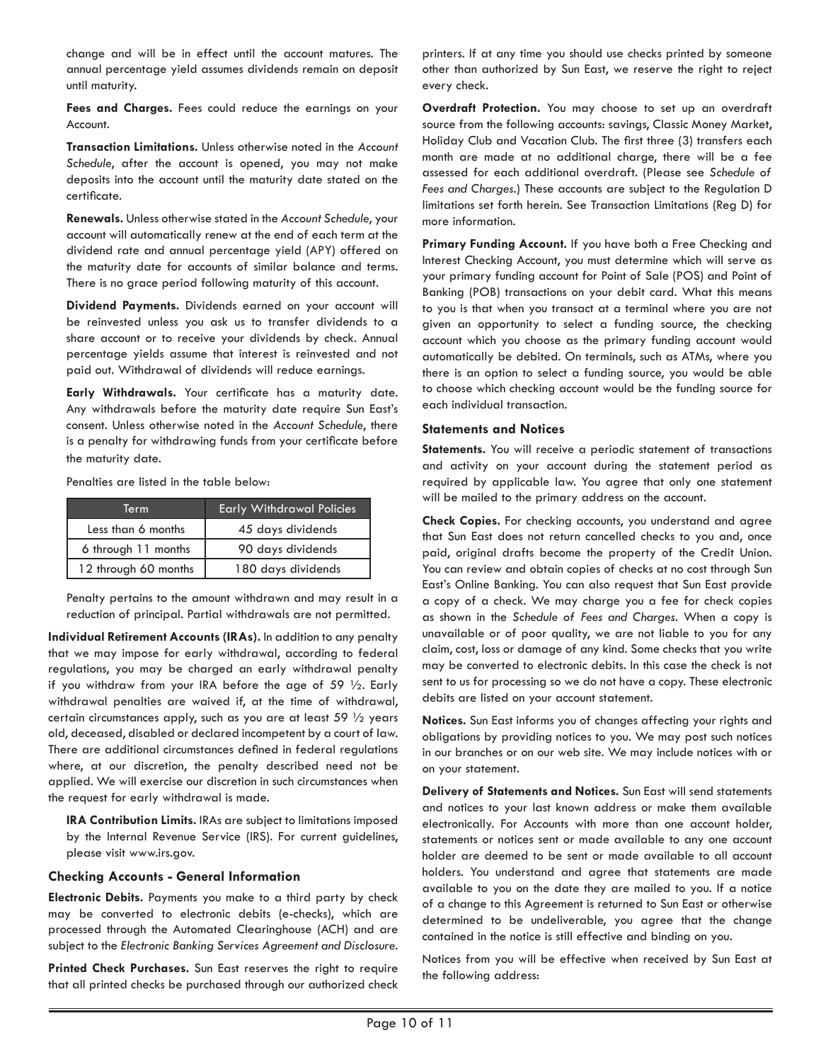change and will be in effect until the account matures. The annual percentage yield assumes dividends remain on deposit until maturity.

**Fees and Charges.** Fees could reduce the earnings on your Account.

**Transaction Limitations.** Unless otherwise noted in the *Account Schedule*, after the account is opened, you may not make deposits into the account until the maturity date stated on the certificate.

**Renewals.** Unless otherwise stated in the *Account Schedule*, your account will automatically renew at the end of each term at the dividend rate and annual percentage yield (APY) offered on the maturity date for accounts of similar balance and terms. There is no grace period following maturity of this account.

**Dividend Payments.** Dividends earned on your account will be reinvested unless you ask us to transfer dividends to a share account or to receive your dividends by check. Annual percentage yields assume that interest is reinvested and not paid out. Withdrawal of dividends will reduce earnings.

**Early Withdrawals.** Your certificate has a maturity date. Any withdrawals before the maturity date require Sun East's consent. Unless otherwise noted in the *Account Schedule*, there is a penalty for withdrawing funds from your certificate before the maturity date.

Penalties are listed in the table below:

| Term                 | <b>Early Withdrawal Policies</b> |
|----------------------|----------------------------------|
| Less than 6 months   | 45 days dividends                |
| 6 through 11 months  | 90 days dividends                |
| 12 through 60 months | 180 days dividends               |

Penalty pertains to the amount withdrawn and may result in a reduction of principal. Partial withdrawals are not permitted.

**Individual Retirement Accounts (IRAs).** In addition to any penalty that we may impose for early withdrawal, according to federal regulations, you may be charged an early withdrawal penalty if you withdraw from your IRA before the age of 59 ½. Early withdrawal penalties are waived if, at the time of withdrawal, certain circumstances apply, such as you are at least 59 ½ years old, deceased, disabled or declared incompetent by a court of law. There are additional circumstances defined in federal regulations where, at our discretion, the penalty described need not be applied. We will exercise our discretion in such circumstances when the request for early withdrawal is made.

**IRA Contribution Limits.** IRAs are subject to limitations imposed by the Internal Revenue Service (IRS). For current guidelines, please visit www.irs.gov.

#### **Checking Accounts - General Information**

**Electronic Debits.** Payments you make to a third party by check may be converted to electronic debits (e-checks), which are processed through the Automated Clearinghouse (ACH) and are subject to the *Electronic Banking Services Agreement and Disclosure*.

**Printed Check Purchases.** Sun East reserves the right to require that all printed checks be purchased through our authorized check

printers. If at any time you should use checks printed by someone other than authorized by Sun East, we reserve the right to reject every check.

**Overdraft Protection.** You may choose to set up an overdraft source from the following accounts: savings, Classic Money Market, Holiday Club and Vacation Club. The first three (3) transfers each month are made at no additional charge, there will be a fee assessed for each additional overdraft. (Please see *Schedule of Fees and Charges*.) These accounts are subject to the Regulation D limitations set forth herein. See Transaction Limitations (Reg D) for more information.

**Primary Funding Account.** If you have both a Free Checking and Interest Checking Account, you must determine which will serve as your primary funding account for Point of Sale (POS) and Point of Banking (POB) transactions on your debit card. What this means to you is that when you transact at a terminal where you are not given an opportunity to select a funding source, the checking account which you choose as the primary funding account would automatically be debited. On terminals, such as ATMs, where you there is an option to select a funding source, you would be able to choose which checking account would be the funding source for each individual transaction.

#### **Statements and Notices**

**Statements.** You will receive a periodic statement of transactions and activity on your account during the statement period as required by applicable law. You agree that only one statement will be mailed to the primary address on the account.

**Check Copies.** For checking accounts, you understand and agree that Sun East does not return cancelled checks to you and, once paid, original drafts become the property of the Credit Union. You can review and obtain copies of checks at no cost through Sun East's Online Banking. You can also request that Sun East provide a copy of a check. We may charge you a fee for check copies as shown in the *Schedule of Fees and Charges*. When a copy is unavailable or of poor quality, we are not liable to you for any claim, cost, loss or damage of any kind. Some checks that you write may be converted to electronic debits. In this case the check is not sent to us for processing so we do not have a copy. These electronic debits are listed on your account statement.

**Notices.** Sun East informs you of changes affecting your rights and obligations by providing notices to you. We may post such notices in our branches or on our web site. We may include notices with or on your statement.

**Delivery of Statements and Notices.** Sun East will send statements and notices to your last known address or make them available electronically. For Accounts with more than one account holder, statements or notices sent or made available to any one account holder are deemed to be sent or made available to all account holders. You understand and agree that statements are made available to you on the date they are mailed to you. If a notice of a change to this Agreement is returned to Sun East or otherwise determined to be undeliverable, you agree that the change contained in the notice is still effective and binding on you.

Notices from you will be effective when received by Sun East at the following address: